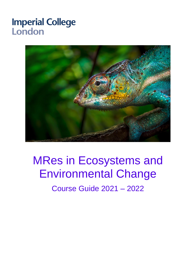# **Imperial College** London



# MRes in Ecosystems and Environmental Change

Course Guide 2021 – 2022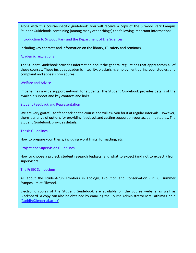Along with this course-specific guidebook, you will receive a copy of the Silwood Park Campus Student Guidebook, containing (among many other things) the following important information:

Introduction to Silwood Park and the Department of Life Sciences

Including key contacts and information on the library, IT, safety and seminars.

#### Academic regulations

The Student Guidebook provides information about the general regulations that apply across all of these courses. These includes academic integrity, plagiarism, employment during your studies, and complaint and appeals procedures.

#### Welfare and Advice

Imperial has a wide support network for students. The Student Guidebook provides details of the available support and key contacts and links.

#### Student Feedback and Representation

We are very grateful for feedback on the course and will ask you for it at regular intervals! However, there is a range of options for providing feedback and getting support on your academic studies. The Student Guidebook provides details.

#### Thesis Guidelines

How to prepare your thesis, including word limits, formatting, etc.

#### Project and Supervision Guidelines

How to choose a project, student research budgets, and what to expect (and not to expect!) from supervisors.

#### The FrEEC Symposium

All about the student-run Frontiers in Ecology, Evolution and Conservation (FrEEC) summer Symposium at Silwood.

Electronic copies of the Student Guidebook are available on the course website as well as Blackboard. A copy can also be obtained by emailing the Course Administrator Mrs Fathima Uddin [\(f.uddin@imperial.ac.uk\)](mailto:f.uddin@imperial.ac.uk).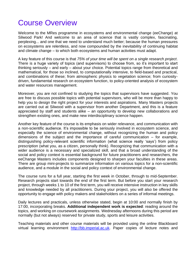# Course Overview

Welcome to the MRes programme in ecosystems and environmental change (eeChange) at Silwood Park! And welcome to an area of science that is vastly complex, fascinating, perplexing... and one that we need to understand much better; because the human pressures on ecosystems are relentless, and now compounded by the inevitability of continuing habitat and climate change – to which both ecosystems and human activities must adapt.

A key feature of this course is that *75% of your time will be spent on a single research project*. There is a huge variety of topics (and supervisors) to choose from, so it's important to start thinking seriously – and early – about your choice. Potential topics range from theoretical and mathematical, for those so inclined, to computationally intensive, to field-based and practical, and combinations of these; from atmospheric physics to vegetation science; from curiositydriven, fundamental research on ecosystem function, to policy-oriented analysis of ecosystem and water resources management.

Moreover, you are not confined to studying the topics that supervisors have suggested. You are free to discuss possible topics with potential supervisors, who will be more than happy to help you to design the right project for your interests and aspirations. Many Masters projects are carried out at Silwood with a supervisor from another Department, and this is a feature appreciated by staff and students alike – an opportunity to develop new collaborations and strengthen existing ones, and make new interdisciplinary science happen.

Another key feature of the course is its emphasis on wider relevance, and communication with a non-scientific audience. It's impossible to be seriously involved in ecosystem science, and especially the science of environmental change, without recognizing the human and policy dimensions of the subject and the importance of careful communication – for example, distinguishing policy-relevant scientific information (what science really 'says') from policy prescription (what you, as a citizen, personally think). Recognizing that communication with a wider audience is a necessary and specialized skill, and that a broad understanding of the social and policy context is essential background for future practitioners and researchers, the eeChange Masters includes components designed to sharpen your faculties in these areas. There are group mini-projects to summarize information on various topics for a non-scientific audience, and a module in the social and policy context of environmental change.

The course runs for a full year, starting the first week in October, through to mid-September. Research projects start towards the end of the first term. But before you start your research project, through weeks 1 to 10 of the first term, you will receive intensive instruction in key skills and knowledge needed by all practitioners. During your project, you will also be offered the opportunity to engage with policy makers and stakeholders on a series of informal meetings.

Daily lectures and practicals, unless otherwise stated, begin at 10:00 and normally finish by 17:00, incorporating breaks. **Additional independent work is expected**: reading around the topics, and working on coursework assignments. Wednesday afternoons during this period are normally (but not always) reserved for private study, sports and leisure activities.

Teaching materials and other course materials will be provided using the online Blackboard virtual learning environment [http://bb.imperial.ac.uk.](http://bb.imperial.ac.uk/) Paper copies of lecture notes and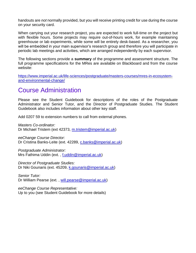handouts are *not* normally provided, but you will receive printing credit for use during the course on your security card.

When carrying out your research project, you are expected to work full-time on the project but with flexible hours. Some projects may require out-of-hours work, for example maintaining greenhouse or lab experiments, while some will be entirely desk-based. As a researcher, you will be embedded in your main supervisor's research group and therefore you will participate in periodic lab meetings and activities, which are arranged independently by each supervisor.

The following sections provide a **summary** of the programme and assessment structure. The full programme specifications for the MRes are available on Blackboard and from the course website:

[https://www.imperial.ac.uk/life-sciences/postgraduate/masters-courses/mres-in-ecosystem](https://www.imperial.ac.uk/life-sciences/postgraduate/masters-courses/mres-in-ecosystem-and-environmental-change/)[and-environmental-change/](https://www.imperial.ac.uk/life-sciences/postgraduate/masters-courses/mres-in-ecosystem-and-environmental-change/)

### Course Administration

Please see the Student Guidebook for descriptions of the roles of the Postgraduate Administrator and Senior Tutor, and the Director of Postgraduate Studies. The Student Guidebook also includes information about other key staff.

Add 0207 59 to extension numbers to call from external phones.

*Masters Co-ordinator:* Dr Michael Tristem (ext 42373, [m.tristem@imperial.ac.uk\)](mailto:m.tristem@imperial.ac.uk)

*eeChange Course Director:* Dr Cristina Banks-Leite (ext. 42289, [c.banks@imperial.ac.uk\)](mailto:c.banks@imperial.ac.uk)

*Postgraduate Administrator:* Mrs Fathima Uddin (ext. , [f.uddin@imperial.ac.uk\)](mailto:f.uddin@imperial.ac.uk)

*Director of Postgraduate Studies:* Dr Niki Gounaris (ext. 45209, [k.gounaris@imperial.ac.uk\)](mailto:k.gounaris@imperial.ac.uk)

*Senior Tutor:* Dr William Pearse (ext. , [will.pearse@imperial.ac.uk\)](mailto:will.pearse@imperial.ac.uk)

*eeChange Course Representative:* Up to you (see Student Guidebook for more details)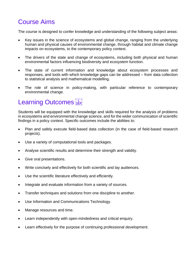### Course Aims

The course is designed to confer knowledge and understanding of the following subject areas:

- Key issues in the science of ecosystems and global change, ranging from the underlying human and physical causes of environmental change, through habitat and climate change impacts on ecosystems, to the contemporary policy context.
- The drivers of the state and change of ecosystems, including both physical and human environmental factors influencing biodiversity and ecosystem function.
- The state of current information and knowledge about ecosystem processes and responses, and tools with which knowledge gaps can be addressed – from data collection to statistical analysis and mathematical modelling.
- The role of science in policy-making, with particular reference to contemporary environmental change.

# Learning Outcomes

Students will be equipped with the knowledge and skills required for the analysis of problems in ecosystems and environmental change science, and for the wider communication of scientific findings in a policy context. Specific outcomes include the abilities to:

- Plan and safely execute field-based data collection (in the case of field-based research projects).
- Use a variety of computational tools and packages.
- Analyse scientific results and determine their strength and validity.
- Give oral presentations.
- Write concisely and effectively for both scientific and lay audiences.
- Use the scientific literature effectively and efficiently.
- Integrate and evaluate information from a variety of sources.
- Transfer techniques and solutions from one discipline to another.
- Use Information and Communications Technology.
- Manage resources and time.
- Learn independently with open-mindedness and critical enquiry.
- Learn effectively for the purpose of continuing professional development.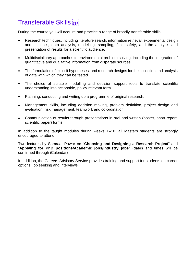# Transferable Skills

During the course you will acquire and practice a range of broadly transferable skills:

- Research techniques, including literature search, information retrieval, experimental design and statistics, data analysis, modelling, sampling, field safety, and the analysis and presentation of results for a scientific audience.
- Multidisciplinary approaches to environmental problem solving, including the integration of quantitative and qualitative information from disparate sources.
- The formulation of explicit hypotheses, and research designs for the collection and analysis of data with which they can be tested.
- The choice of suitable modelling and decision support tools to translate scientific understanding into actionable, policy-relevant form.
- Planning, conducting and writing up a programme of original research.
- Management skills, including decision making, problem definition, project design and evaluation, risk management, teamwork and co-ordination.
- Communication of results through presentations in oral and written (poster, short report, scientific paper) forms.

In addition to the taught modules during weeks 1–10, all Masters students are strongly encouraged to attend:

Two lectures by Samraat Pawar on "**Choosing and Designing a Research Project**" and "**Applying for PhD positions/Academic jobs/Industry jobs**" (dates and times will be confirmed through iCalendar)

In addition, the Careers Advisory Service provides training and support for students on career options, job seeking and interviews.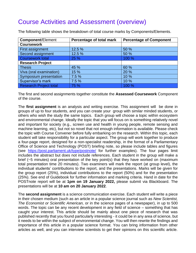### Course Activities and Assessment (overview)

| <b>Component/Element</b>      | Percentage of total mark | <b>Percentage of Component</b> |
|-------------------------------|--------------------------|--------------------------------|
| <b>Coursework</b>             |                          |                                |
| First assignment              | 12.5 %                   | 50 %                           |
| Second assignment             | 12.5 %                   | 50 %                           |
| <b>Coursework total</b>       | 25 %                     | 100 %                          |
| <b>Research Project</b>       |                          |                                |
| <b>Thesis</b>                 | 45 %                     | 60 %                           |
| Viva (oral examination)       | 15 %                     | 20 %                           |
| Symposium presentation        | 7.5%                     | 10 %                           |
| Supervisor's mark             | 7.5%                     | 10 %                           |
| <b>Research Project total</b> | 75 %                     | 100 %                          |

The following table shows the breakdown of total course marks by Components/Elements.

The first and second assignments together constitute the **Assessed Coursework** Component of the course.

The **first assignment** is an analysis and writing exercise. This assignment will be done in groups of up to four students, and you can create your group with similar minded students, or others who wish the study the same topics. Each group will choose a topic within ecosystem and environmental change. Ideally the topic that you will focus on is something relatively novel and important for society (e.g., screen use and health in young people, remote sensing and machine learning, etc), but not so novel that not enough information is available. Please check the topic with Course Convener before fully embarking on the research. Within this topic, each student will take responsibility for a particular aspect. The group will work together to produce a four-page report, designed for a non-specialist readership, in the format of a Parliamentary Office of Science and Technology (POST) briefing note, so please include tables and figures (see <https://post.parliament.uk/type/postnote/> for further examples). The four pages limit includes the abstract but does not include references. Each student in the group will make a brief (~5 minutes) oral presentation of the key point(s) that they have worked on (maximum total presentation time 20 minutes). Two examiners will mark the report (at group level), the individual students' contributions to the report, and the presentations. Marks will be given for the group report (25%), individual contributions to the report (50%) and for the presentation (25%). See end of Guidebook for further information and marking criteria. Hand in date for the POSTnote report will be at **1pm on 19 January 2022,** please submit via Blackboard. The presentations will be at **10 am on 20 January 2022**.

The **second assignment** is a science communication exercise. Each student will write a piece in their chosen medium (such as an article in a popular science journal such as *New Scientist, The Economist or Scientific American,* or in the science pages of a newspaper), in up to 500 words. The topic can be any recent development in any field of science – something that has caught your interest. This article should be mainly about one piece of research that was published recently that you found particularly interesting - it could be in any area of science, but it needs to be within the subject of environmental change. You will then rewrite the findings and importance of this article in a popular science format. You can bring information from other articles as well, and you can interview scientists to get their opinions on this scientific article.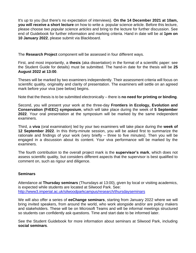It's up to you (but there's no expectation of interviews). **On the 14 December 2021 at 10am, you will receive a short lecture** on how to write a popular science article. Before this lecture, please choose *two popular science articles* and bring to the lecture for further discussion. See end of Guidebook for further information and marking criteria. Hand in date will be at **1pm on 10 January 2022**, please submit via Blackboard.

The **Research Project** component will be assessed in four different ways.

First, and most importantly, a **thesis** (aka dissertation) in the format of a scientific paper: see the Student Guide for details) must be submitted. The hand-in date for the thesis will be **25 August 2022 at 13:00**.

Theses will be marked by two examiners independently. Their assessment criteria will focus on scientific quality, originality and clarity of presentation. The examiners will settle on an agreed mark before your viva (see below) begins.

Note that the thesis is to be submitted electronically – there is **no need for printing or binding**.

Second, you will present your work at the three-day **Frontiers in Ecology, Evolution and Conservation (FrEEC) symposium**, which will take place during the week of **5 September 2022**. Your oral presentation at the symposium will be marked by the same independent examiners.

Third, a **viva** (oral examination) led by your two examiners will take place during the **week of 12 September 2022**. In this thirty-minute session, you will be asked first to summarize the rationale and findings of your work (very briefly – three to five minutes). Then you will be engaged in a discussion about its content. Your viva performance will be marked by the examiners.

The fourth contribution to the overall project mark is the **supervisor's mark**, which does not assess scientific quality, but considers different aspects that the supervisor is best qualified to comment on, such as rigour and diligence.

#### **Seminars**

Attendance at **Thursday seminars** (Thursdays at 13:00), given by local or visiting academics, is expected while students are located at Silwood Park. See: <http://www3.imperial.ac.uk/silwoodparkcampus/research/thursdayseminars>

We will also offer a series of **eeChange seminars**, starting from January 2022 where we will bring invited speakers, from around the world, who work alongside and/or are policy makers and stakeholders. These will be on Microsoft Teams and will be informal meetings structured so students can confidently ask questions. Time and start date to be informed later.

See the Student Guidebook for more information about seminars at Silwood Park, including **social seminars**.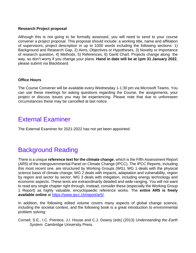#### **Research Project proposal**

Although this is not going to be formally assessed, you will need to send to your course convener a project proposal. This proposal should include: a working title, name and affiliation of supervisors, project description in up to 1000 words including the following sections: 1) Background and Research Gap, 2) Aims, Objectives or Hypotheses, 3) Novelty or Importance of research question, 4) Methods, 5) References, 6) Gantt Chart. Projects change along the way, so don't worry if you change your plans. **Hand in date will be at 1pm 31 January 2022**, please submit via Blackboard.

#### **Office Hours**

The Course Convener will be available every Wednesday 1-1:30 pm via Microsoft Teams. You can use these meetings for asking questions regarding the Course, the assignments, your project or discuss issues you may be experiencing. Please note that due to unforeseen circumstances these may be cancelled at last notice.

### External Examiner

The External Examiner for 2021-2022 has not yet been appointed.

### Background Reading

There is a unique **reference text for the climate change**, which is the Fifth Assessment Report (AR5) of the Intergovernmental Panel on Climate Change (IPCC). The IPCC Reports, including this most recent one, are structured by Working Groups (WG). WG 1 deals with the physical science basis of climate change; WG 2 deals with impacts, adaptation and vulnerability, region by region and sector by sector; WG 3 deals with mitigation, including energy technology and economic aspects. These texts are extraordinarily detailed and wide-ranging. You will not want to read any single chapter right through. Instead, consider these (especially the Working Group 1 Report) as highly valuable, encyclopaedic reference works. The **entire AR5 is freely available online** at [https://www.ipcc.ch/report/ar5/.](https://www.ipcc.ch/report/ar5/)

In addition, the following edited volume covers many aspects of global change science, including the societal context, and the following book is a great introduction to environmental problem solving:

Cornell, S.E., I.C. Prentice, J.I. House and C.J. Downy (eds) (2013) *Understanding the Earth System.* Cambridge University Press.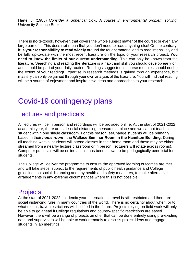Harte, J. (1988) *Consider a Spherical Cow: A course in environmental problem solving*. University Science Books.

There is **no** textbook, however, that covers the whole subject matter of the course; or even any large part of it. This does **not** mean that you don't need to read anything else! On the contrary: **it is your responsibility to read widely** around the taught material and to read intensively and be fully up-to-date with the most recent literature on the topic of your research project. **You need to know the limits of our current understanding**. This can only be known from the literature. Searching and reading the literature is a habit and skill you should develop early on, and should be part of your daily routine. Readings suggested in course modules should not be the extent of your reading! Expertise in research methods is gained through experience, but mastery can only be gained through your own analysis of the literature. You will find that reading will be a source of enjoyment and inspire new ideas and approaches to your research.

# Covid-19 contingency plans

### Lectures and practicals

All lectures will be in person and recordings will be provided online. At the start of 2021-2022 academic year, there are still social distancing measures at place and we cannot teach all student within one single classroom. For this reason, eeChange students will be primarily based in their *home room* - the **Wallace Seminar Room in the Hamilton Building**. During all teaching weeks, students will attend classes in their home room and these may be either streamed from a nearby lecture classroom or in person (lecturers will rotate across rooms). Computer practicals will be online as this has been shown to be pedagogically beneficial for students.

The College will deliver the programme to ensure the approved learning outcomes are met and will take steps, subject to the requirements of public health guidance and College guidelines on social distancing and any health and safety measures, to make alternative arrangements in any extreme circumstances where this is not possible.

### **Projects**

At the start of 2021-2022 academic year, international travel is still restricted and there are social distancing rules in many countries of the world. There is no certainty about when, or to what extent, travel restrictions will be lifted in the future. Projects relying on field work will only be able to go ahead if College regulations and country-specific restrictions are eased. However, there will be a range of projects on offer that can be done entirely using pre-existing data and supervisors will be able to work remotely to discuss project ideas and engage students in lab meetings.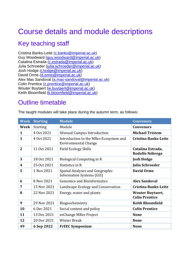# Course details and module descriptions

### Key teaching staff

Cristina Banks-Leite [\(c.banks@imperial.ac.uk\)](mailto:c.banks@imperial.ac.uk) Guy Woodward [\(guy.woodward@imperial.ac.uk\)](mailto:guy.woodward@imperial.ac.uk) Catalina Estrada [\(c.estrada@imperial.ac.uk\)](mailto:c.estrada@imperial.ac.uk) Julia Schroeder [\(julia.schroeder@imperial.ac.uk\)](mailto:julia.schroeder@imperial.ac.uk) Josh Hodge (*j.hodge@imperial.ac.uk*) David Orme [\(d.orme@imperial.ac.uk\)](mailto:d.orme@imperial.ac.uk) Alex Mas Sandoval [\(a.mas-sandoval@imperial.ac.uk\)](mailto:a.mas-sandoval@imperial.ac.uk) Colin Prentice (*c.prentice@imperial.ac.uk*) Wouter Buytaert [\(w.buytaert@imperial.ac.uk\)](mailto:w.buytaert@imperial.ac.uk) Keith Bloomfield [\(k.bloomfield@imperial.ac.uk\)](mailto:k.bloomfield@imperial.ac.uk)

### Outline timetable

| <b>Week</b>    | <b>Starting</b> | <b>Module</b>                                                         | <b>Convenors</b>                                 |
|----------------|-----------------|-----------------------------------------------------------------------|--------------------------------------------------|
| Week           | <b>Starting</b> | Module                                                                | <b>Convenors</b>                                 |
| 1              | 4 Oct 2021      | <b>Silwood Campus Introduction</b>                                    | <b>Michael Tristem</b>                           |
| 1              | 4 Oct 2021      | Introduction to the MRes Ecosystem and<br><b>Environmental Change</b> | <b>Cristina Banks-Leite</b>                      |
| $\overline{2}$ | 11 Oct 2021     | <b>Field Ecology Skills</b>                                           | Catalina Estrada,<br>Rodolfo Nóbrega             |
| 3              | 18 Oct 2021     | Biological Computing in R                                             | <b>Josh Hodge</b>                                |
| 4              | 25 Oct 2021     | Statistics in R                                                       | <b>Julia Schroeder</b>                           |
| 5              | 1 Nov 2021      | Spatial Analyses and Geographic<br><b>Information Systems (GIS)</b>   | <b>David Orme</b>                                |
| 6              | 8 Nov 2021      | <b>Genomics and Bioinformatics</b>                                    | <b>Alex Sandoval</b>                             |
| 7              | 15 Nov 2021     | Landscape Ecology and Conservation                                    | <b>Cristina Banks-Leite</b>                      |
| 8              | 22 Nov 2021     | Energy, water and plants                                              | <b>Wouter Buytaert,</b><br><b>Colin Prentice</b> |
| 9              | 29 Nov 2021     | Biogeochemistry                                                       | <b>Keith Bloomfield</b>                          |
| 10             | 6 Dec 2021      | Social context and policy                                             | <b>Colin Prentice</b>                            |
| 11             | 13 Dec 2021     | eeChange MRes Project                                                 | <b>None</b>                                      |
| 12             | 20 Dec 2021     | <b>Winter Break</b>                                                   | <b>None</b>                                      |
| 49             | 6 Sep 2022      | <b>FrEEC Symposium</b>                                                | <b>None</b>                                      |

The taught modules will take place during the autumn term, as follows**:**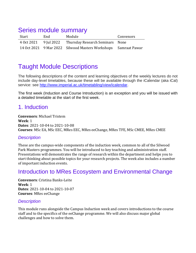### Series module summary

| Start | End | Module                                                         | Convenors |
|-------|-----|----------------------------------------------------------------|-----------|
|       |     | 4 Oct 2021 9 Jul 2022 Thursday Research Seminars None          |           |
|       |     | 14 Oct 2021 9 Mar 2022 Silwood Masters Workshops Samraat Pawar |           |

### Taught Module Descriptions

The following descriptions of the content and learning objectives of the weekly lectures do not include day-level timetables, because these will be available through the iCalendar (aka iCal) service: see [http://www.imperial.ac.uk/timetabling/view/icalendar.](http://www.imperial.ac.uk/timetabling/view/icalendar)

The first week (Induction and Course Introduction) is an exception and you will be issued with a detailed timetable at the start of the first week.

### 1. Induction

**Convenors**: Michael Tristem **Week**: 1 **Dates**: 2021-10-04 to 2021-10-08 **Courses**: MSc EA, MSc EEC, MRes EEC, MRes eeChange, MRes TFE, MSc CMEE, MRes CMEE

#### *Description*

These are the campus-wide components of the induction week, common to all of the Silwood Park Masters programmes. You will be introduced to key teaching and administration staff. Presentations will demonstrates the range of research within the department and helps you to start thinking about possible topics for your research projects. The week also includes a number of important induction events.

### Introduction to MRes Ecosystem and Environmental Change

**Convenors**: Cristina Banks-Leite **Week**: 1 **Dates**: 2021-10-04 to 2021-10-07 **Courses**: MRes eeChange

#### *Description*

This module runs alongside the Campus Induction week and covers introductions to the course staff and to the specifics of the eeChange programme. We will also discuss major global challenges and how to solve them.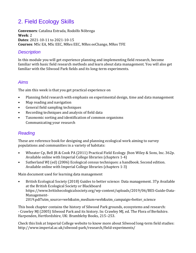### 2. Field Ecology Skills

**Convenors**: Catalina Estrada, Rodolfo Nóbrega **Week**: 2 **Dates**: 2021-10-11 to 2021-10-15 **Courses**: MSc EA, MSc EEC, MRes EEC, MRes eeChange, MRes TFE

#### *Description*

In this module you will get experience planning and implementing field research, become familiar with basic field research methods and learn about data management. You will also get familiar with the Silwood Park fields and its long-term experiments.

#### *Aims*

The aim this week is that you get practical experience on

- Planning field research with emphasis on experimental design, time and data management
- Map reading and navigation
- General field sampling techniques
- Recording techniques and analysis of field data
- Taxonomic sorting and identification of common organisms Communicating your research

#### *Reading*

These are reference book for designing and planning ecological work aiming to survey populations and communities in a variety of habitats:

- Wheater Cp, Bell JR & Cook PA (2011) Practical Field Ecology. Jhon Wiley & Sons, Inc. 362p. Available online with Imperial College libraries (chapters 1-4)
- Sutherland WJ (ed) (2006) Ecological census techniques: a handbook. Second edition. Available online with Imperial College libraries (chapters 1-3)

Main document used for learning data management

• British Ecological Society (2018) Guides to better science: Data management. 37p Available at the British Ecological Society or Blackboard https://www.britishecologicalsociety.org/wp-content/uploads/2019/06/BES-Guide-Data-Management-2019.pdf?utm\_source=web&utm\_medium=web&utm\_campaign=better\_science

This book chapter contains the history of Silwood Park grounds, ecosystems and research: - Crawley MJ (2005) Silwood Park and its history. In: Crawley MJ, ed. The Flora of Berkshire. Harpenden, Hertfordshire, UK: Brambleby Books, 215–253.

Check this link at Imperial College website to know more about Silwood long-term field studies: http://www.imperial.ac.uk/silwood-park/research/field-experiments/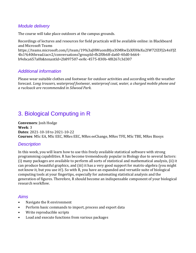#### *Module delivery*

The course will take place outdoors at the campus grounds.

Recordings of lectures and resources for field practicals will be available online: in Blackboard and Microsoft Teams https://teams.microsoft.com/l/team/19%3aJHWuomBfya3SMRwZsXfOHeXu2IW72IZFJ2s4nYJZ 4ls1%40thread.tacv2/conversations?groupId=fb2f0b68-da60-40d0-b664 b9ebca657a0b&tenantId=2b897507-ee8c-4575-830b-4f8267c3d307

#### *Additional information*

Please wear suitable clothes and footwear for outdoor activities and according with the weather forecast. *Long trousers, waterproof footwear, waterproof coat, water, a charged mobile phone and a rucksack are recommended in Silwood Park.*

### 3. Biological Computing in R

**Convenors**: Josh Hodge **Week**: 3 **Dates**: 2021-10-18 to 2021-10-22 **Courses**: MSc EA, MSc EEC, MRes EEC, MRes eeChange, MRes TFE, MSc TBE, MRes Biosys

#### *Description*

In this week, you will learn how to use this freely available statistical software with strong programming capabilities. R has become tremendously popular in Biology due to several factors: (i) many packages are available to perform all sorts of statistical and mathematical analysis, (ii) it can produce beautiful graphics, and (iii) it has a very good support for matrix-algebra (you might not know it, but you use it!). So with R, you have an expanded and versatile suite of biological computing tools at your fingertips, especially for automating statistical analysis and the generation of figures. Therefore, R should become an indispensable component of your biological research workflow.

#### *Aims*

- Navigate the R environment
- Perform basic commands to import, process and export data
- Write reproducible scripts
- Load and execute functions from various packages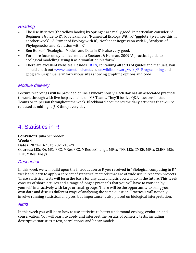#### *Reading*

- The Use R! series (the yellow books) by Springer are really good. In particular, consider: 'A Beginner's Guide to R', 'R by Example', 'Numerical Ecology With R', 'ggplot2' (we'll see this in another week), 'A Primer of Ecology with R', 'Nonlinear Regression with R', 'Analysis of Phylogenetics and Evolution with R'.
- Ben Bolker's 'Ecological Models and Data in R' is also very good.
- For more focus on dynamical models: Soetaert & Herman. 2009 'A practical guide to ecological modelling: using R as a simulation platform'.
- There are excellent websites. Besides [CRAN,](https://cran.r-project.org/) containing all sorts of guides and manuals, you should check out www.statmethods.net and en.wikibooks.org/wiki/R\_Programming and google 'R Graph Gallery' for various sites showing graphing options and code.

#### *Module delivery*

Lecture recordings will be provided online asynchronously. Each day has an associated practical to work through with live help available on MS Teams. They'll be live Q&A sessions hosted on Teams or in-person throughout the week. Blackboard documents the daily activities that will be released at midnight (UK time) every day.

### 4. Statistics in R

**Convenors**: Julia Schroeder **Week**: 4 **Dates**: 2021-10-25 to 2021-10-29 **Courses**: MSc EA, MSc EEC, MRes EEC, MRes eeChange, MRes TFE, MSc CMEE, MRes CMEE, MSc TBE, MRes Biosys

#### *Description*

In this week we will build upon the introduction to R you received in "Biological computing in R" week and learn to apply a core set of statistical methods that are of wide use in research projects. These statistical tests will form the basis for any data analysis you will do in the future. This week consists of short lectures and a range of longer practicals that you will have to work on by yourself, interactively with large or small groups. There will be the opportunity to bring your own data and discuss different ways of analysing the same question. Practicals will not only involve running statistical analyses, but importance is also placed on biological interpretation.

#### *Aims*

In this week you will learn how to use statistics to better understand ecology, evolution and conservation. You will learn to apply and interpret the results of pametric tests, including descriptive statistics, t-test, correlations, and linear models.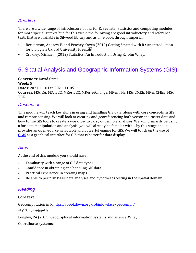#### *Reading*

There are a wide range of introductory books for R. See later statistics and computing modules for more specialist texts but, for this week, the following are good introductory and reference texts that are available in Silwood library and as an e-book through Imperial:

- Beckerman, Andrew P. and Petchey, Owen (2012) Getting Started with R : An introduction for biologists Oxford University Press.
- Crawley, Michael J (2012) Statistics: An Introduction Using R. John Wiley.

### 5. Spatial Analysis and Geographic Information Systems (GIS)

**Convenors**: David Orme **Week**: 5 **Dates**: 2021-11-01 to 2021-11-05 **Courses**: MSc EA, MSc EEC, MRes EEC, MRes eeChange, MRes TFE, MSc CMEE, MRes CMEE, MSc TBE

#### *Description*

This module will teach key skills in using and handling GIS data, along with core concepts in GIS and remote sensing. We will look at creating and georeferencing both vector and raster data and how to use GIS tools to create a workflow to carry out simple analyses. We will primarily be using R for data manipulation and analysis: you will already be familiar with R by this stage and it provides an open-source, scriptable and powerful engine for GIS. We will touch on the use of [QGIS](https://http/qgis.org/) as a graphical interface for GIS that is better for data display.

#### *Aims*

At the end of this module you should have:

- Familiarity with a range of GIS data types
- Confidence in obtaining and handling GIS data
- Practical experience in creating maps
- Be able to perform basic data analyses and hypotheses testing in the spatial domain

#### *Reading*

#### **Core text**:

Geocomputation in R https://bookdown.org/robinlovelace/geocompr/

\*\* GIS overview\*\*:

Longley, PA (2011) Geographical information systems and science. Wiley.

#### **Coordinate systems**: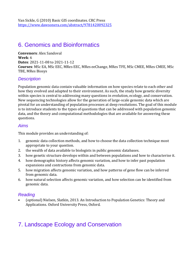### 6. Genomics and Bioinformatics

**Convenors**: Alex Sandoval **Week**: 6 **Dates**: 2021-11-08 to 2021-11-12 **Courses**: MSc EA, MSc EEC, MRes EEC, MRes eeChange, MRes TFE, MSc CMEE, MRes CMEE, MSc TBE, MRes Biosys

#### *Description*

Population genomic data contain valuable information on how species relate to each other and how they evolved and adapted to their environment. As such, the study how genetic diversity within species is central to addressing many questions in evolution, ecology, and conservation. New sequencing technologies allow for the generation of large-scale genomic data which are pivotal for an understanding of population processes at deep resolutions. The goal of this module is to introduce students to the types of questions that can be addressed with population genomic data, and the theory and computational methodologies that are available for answering these questions.

#### *Aims*

This module provides an understanding of:

- 1. genomic data collection methods, and how to choose the data collection technique most appropriate to your question.
- 2. the wealth of data available to biologists in public genomic databases.
- 3. how genetic structure develops within and between populations and how to characterise it.
- 4. how demographic history affects genomic variation, and how to infer past population expansions and contractions from genomic data.
- 5. how migration affects genomic variation, and how patterns of gene flow can be inferred from genomic data.
- 6. how natural selection affects genomic variation, and how selection can be identified from genomic data.

#### *Reading*

• (optional) Nielsen, Slatkin, 2013. An Introduction to Population Genetics: Theory and Applications. Oxford University Press, Oxford.

### 7. Landscape Ecology and Conservation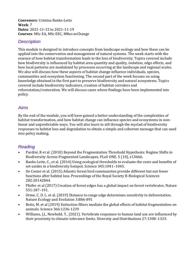**Convenors**: Cristina Banks-Leite **Week**: 7 **Dates**: 2021-11-15 to 2021-11-19 **Courses**: MSc EA, MSc EEC, MRes eeChange

#### *Description*

This module is designed to introduce concepts from landscape ecology and how these can be applied into the conservation and management of natural systems. The week starts with the essence of how habitat transformation leads to the loss of biodiversity. Topics covered include how biodiversity is influenced by habitat area quantity and quality, isolation, edge effects, and how local patterns are modulated by processes occurring at the landscape and regional scales. We also will discuss how these aspects of habitat change influence individuals, species, communities and ecosystem functioning. The second part of the week focuses on using knowledge obtained in the first part to preserve biodiversity and natural ecosystems. Topics covered include biodiversity indicators, creation of habitat corridors and reforestation/restoration. We will discuss cases where findings have been implemented into policy.

#### *Aims*

By the end of the module, you will have gained a better understanding of the complexities of habitat transformation, and how habitat change can influence species and ecosystems in nonlinear and unpredictable ways. You will also learn to sift through the myriad of biodiversity responses to habitat loss and degradation to obtain a simple and coherent message that can used into policy making.

#### *Reading*

- Pardini, R et al. (2010) Beyond the Fragmentation Threshold Hypothesis: Regime Shifts in Biodiversity Across Fragmented Landscapes. PLoS ONE. 5 (10), e13666.
- Banks-Leite, C., et al. (2014) Using ecological thresholds to evaluate the costs and benefits of set-asides in a biodiversity hotspot. Science 345:1041–1045.
- De Coster et al. (2015) Atlantic forest bird communities provide different but not fewer functions after habitat loss. Proceedings of the Royal Society B-Biological Sciences 282:20142844.
- Pfeifer et al (2017) Creation of forest edges has a global impact on forest vertebrates. Nature 551:187–191.
- Orme, C. D. L. et al. (2019) Distance to range edge determines sensitivity to deforestation. Nature Ecology and Evolution 3:886-891
- Betts, M. et al (2019) Extinction filters mediate the global effects of habitat fragmentation on animals. Science 366:1236-1239
- Williams, J.J., Newbold, T., (2021). Vertebrate responses to human land use are influenced by their proximity to climatic tolerance limits. Diversity and Distributions 27:1308–1323.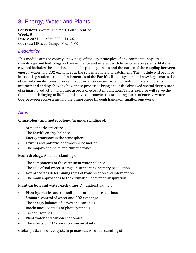### 8. Energy, Water and Plants

**Convenors**: Wouter Buytaert, Colin Prentice **Week**: 8 **Dates**: 2021-11-22 to 2021-11-26 **Courses**: MRes eeChange, MRes TFE

#### *Description*

This module aims to convey knowledge of the key principles of environmental physics, climatology and hydrology as they influence and interact with terrestrial ecosystems. Material covered includes the standard model for photosynthesis and the nature of the coupling between energy, water and CO2 exchanges at the scales from leaf to catchment. The module will begin by introducing students to the fundamentals of the Earth's climate system and how it generates the observed climate zones; proceed to consider processes by which soils, climate and plants interact; and end by showing how these processes bring about the observed spatial distribution of primary production and other aspects of ecosystem function. A class exercise will serve the function of "bringing to life" quantitative approaches to estimating fluxes of energy, water and CO2 between ecosystems and the atmosphere through hands-on small-group work.

#### *Aims*

#### **Climatology and meteorology**. An understanding of:

- Atmospheric structure
- The Earth's energy balance
- Energy transport in the atmosphere
- Drivers and patterns of atmospheric motion
- The major wind belts and climatic zones

#### **Ecohydrology**. An understanding of:

- The components of the catchment water balance
- The role of soil water storage in supporting primary production
- Key processes determining rates of transpiration and interception
- The main approaches to the estimation of evapotranspiration

#### **Plant carbon and water exchanges**. An understanding of:

- Plant hydraulics and the soil-plant-atmosphere continuum
- Stomatal control of water and CO2 exchange
- The energy balance of leaves and canopies
- Biochemical controls of photosynthesis
- Carbon isotopes
- Plant water and carbon economies
- The effects of CO2 concentration on plants

#### **Global patterns of ecosystem processes**. An understanding of: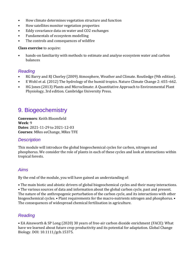- How climate determines vegetation structure and function
- How satellites monitor vegetation properties
- Eddy covariance data on water and CO2 exchanges
- Fundamentals of ecosystem modelling
- The controls and consequences of wildfire

#### **Class exercise** to acquire:

• hands-on familiarity with methods to estimate and analyse ecosystem water and carbon balances

#### *Reading*

- RG Barry and RJ Chorley (2009) Atmosphere, Weather and Climate. Routledge (9th edition).
- E Wohl et al. (2012) The hydrology of the humid tropics. Nature Climate Change 2: 655–662.
- HG Jones (2013) Plants and Microclimate: A Quantitative Approach to Environmental Plant Physiology, 3rd edition. Cambridge University Press.

### 9. Biogeochemistry

**Convenors**: Keith Bloomfield **Week**: 9 **Dates**: 2021-11-29 to 2021-12-03 **Courses**: MRes eeChange, MRes TFE

#### *Description*

This module will introduce the global biogeochemical cycles for carbon, nitrogen and phosphorus. We consider the role of plants in each of these cycles and look at interactions within tropical forests.

#### *Aims*

By the end of the module, you will have gained an understanding of:

• The main biotic and abiotic drivers of global biogeochemical cycles and their many interactions.

• The various sources of data and information about the global carbon cycle, past and present. The nature of the anthropogenic perturbation of the carbon cycle, and its interactions with other biogeochemical cycles. • Plant requirements for the macro-nutrients nitrogen and phosphorus. • The consequences of widespread chemical fertilisation in agriculture.

#### *Reading*

• EA Ainsworth & SP Long (2020) 30 years of free-air carbon dioxide enrichment (FACE): What have we learned about future crop productivity and its potential for adaptation. Global Change Biology. DOI: 10.1111/gcb.15375.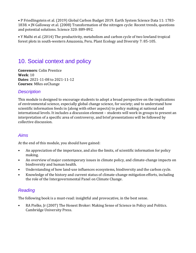• P Friedlingstein et al. (2019) Global Carbon Budget 2019. Earth System Science Data 11: 1783- 1838. • JN Galloway et al. (2008) Transformation of the nitrogen cycle: Recent trends, questions and potential solutions. Science 320: 889-892.

• Y Malhi et al. (2014) The productivity, metabolism and carbon cycle of two lowland tropical forest plots in south-western Amazonia, Peru. Plant Ecology and Diversity 7: 85-105.

### 10. Social context and policy

**Convenors**: Colin Prentice **Week**: 10 **Dates**: 2021-11-08 to 2021-11-12 **Courses**: MRes eeChange

#### *Description*

This module is designed to encourage students to adopt a broad perspective on the implications of environmental science, especially global change science, for society; and to understand how scientific information feeds in (along with other aspects) to policy making at national and international levels. It includes a discussion element – students will work in groups to present an interpretation of a specific area of controversy, and brief presentations will be followed by collective discussion.

#### *Aims*

At the end of this module, you should have gained:

- An appreciation of the importance, and also the limits, of scientific information for policy making.
- An overview of major contemporary issues in climate policy, and climate-change impacts on biodiversity and human health.
- Understanding of how land-use influences ecosystems, biodiversity and the carbon cycle.
- Knowledge of the history and current status of climate-change mitigation efforts, including the role of the Intergovernmental Panel on Climate Change.

#### *Reading*

The following book is a must-read: insightful and provocative, in the best sense.

• RA Pielke, Jr (2007) The Honest Broker: Making Sense of Science in Policy and Politics. Cambridge University Press.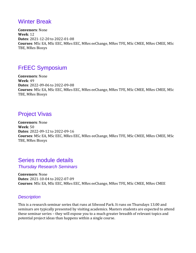### Winter Break

**Convenors**: None **Week**: 12 **Dates**: 2021-12-20 to 2022-01-08 **Courses**: MSc EA, MSc EEC, MRes EEC, MRes eeChange, MRes TFE, MSc CMEE, MRes CMEE, MSc TBE, MRes Biosys

### FrEEC Symposium

**Convenors**: None **Week**: 49 **Dates**: 2022-09-06 to 2022-09-08 **Courses**: MSc EA, MSc EEC, MRes EEC, MRes eeChange, MRes TFE, MSc CMEE, MRes CMEE, MSc TBE, MRes Biosys

### Project Vivas

**Convenors**: None **Week**: 50 **Dates**: 2022-09-12 to 2022-09-16 **Courses**: MSc EA, MSc EEC, MRes EEC, MRes eeChange, MRes TFE, MSc CMEE, MRes CMEE, MSc TBE, MRes Biosys

### Series module details

*Thursday Research Seminars*

**Convenors**: None **Dates**: 2021-10-04 to 2022-07-09 **Courses**: MSc EA, MSc EEC, MRes EEC, MRes eeChange, MRes TFE, MSc CMEE, MRes CMEE

#### *Description*

This is a research seminar series that runs at Silwood Park. It runs on Thursdays 13.00 and seminars are typically presented by visiting academics. Masters students are expected to attend these seminar series – they will expose you to a much greater breadth of relevant topics and potential project ideas than happens within a single course.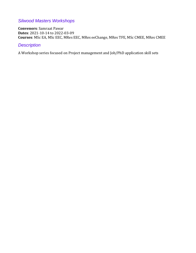#### *Silwood Masters Workshops*

**Convenors**: Samraat Pawar **Dates**: 2021-10-14 to 2022-03-09 **Courses**: MSc EA, MSc EEC, MRes EEC, MRes eeChange, MRes TFE, MSc CMEE, MRes CMEE

#### *Description*

A Workshop series focused on Project management and Job/PhD application skill sets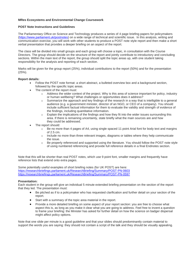#### **MRes Ecosystems and Environmental Change Coursework**

#### **POST Note Instructions and Guidelines**

The Parliamentary Office on Science and Technology produces a series of 4 page briefing papers for policymakers [\(https://www.parliament.uk/postnotes\)](https://www.parliament.uk/postnotes) on a wide range of technical and scientific issue. In this analysis, writing and communication exercise, you will work with other students to produce a POST note style report and then make a short verbal presentation that provides a deeper briefing on an aspect of the report.

The class will be divided into small groups and each group will choose a topic, in consultation with the Course Directors. The group should decide on the structure of the report and jointly contribute to introductory and concluding sections. Within the main text of the report, the group should split the topic areas up, with one student taking responsibility for the analysis and reporting of each section.

Marks will be given for the group report (25%), individual contributions to the report (50%) and for the presentation (25%).

#### **Report details:**

- Follow the POST note format: a short abstract, a bulleted overview box and a background section, followed by the specific topic areas.
- The content of the report must:
	- $\circ$  Address the wider context of the project. Why is this area of science important for policy, industry or human wellbeing? What challenges or opportunities does it address?
	- $\circ$  Summarize the approach and key findings of the research in a way that is intelligible to a general audience (e.g. a government minister, director of an NGO, or CEO of a company). You should include sufficient factual information for them to evaluate the validity and strength of evidence of the findings, including quantitative information.
	- $\circ$  Explain the implications of the findings and how they fit into the wider issues surrounding this area. If there is remaining uncertainty, state briefly what the main sources are and how they could be addressed.
- The report should:
	- $\circ$  Be no more than 4 pages of A4, using single spaced 11 point Arial font for body text and margins of 2.5 cm.
	- $\circ$  Include no more than three relevant images, diagrams or tables where they help communicate the issue.
	- $\circ$  Be properly referenced and supported using the literature. You should follow the POST note style of using numbered referencing and provide full reference details in a final Endnotes section.

Note that this will be shorter than real POST notes, which use 9 point font, smaller margins and frequently have reference lists that extend onto extra pages.

Some potentially useful examples of short briefing notes (for UK POST) are here: <https://researchbriefings.parliament.uk/ResearchBriefing/Summary/POST-PN-0603> <https://researchbriefings.parliament.uk/ResearchBriefing/Summary/POST-PN-0597>

#### **Presentation:**

Each student in the group will give an individual 5 minute extended briefing presentation on the section of the report that they led. The presentation must:

- Be pitched as if to a policymaker who has requested clarification and further detail on your section of the report.
- Start with a summary of the topic area material in the report.
- Provide a more detailed briefing on some aspect of your report section: you are free to choose what aspect this is, as long as you make it clear what you are going to address. Feel free to invent a question to frame your briefing: the Minister has asked for further detail on how the science on badger dispersal might affect policy options.

Note that one slide per minute is a good guideline and that your slides should predominantly contain material to support the words you are saying: they should not contain a script of the talk and they should be visually appealing.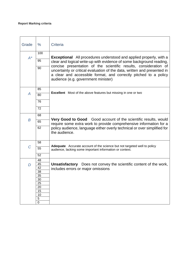#### **Report Marking criteria**

| Grade          | $\frac{0}{0}$   | Criteria                                                                                                                                                                            |
|----------------|-----------------|-------------------------------------------------------------------------------------------------------------------------------------------------------------------------------------|
|                | 100             |                                                                                                                                                                                     |
| $A^*$          | 95              | <b>Exceptional</b> All procedures understood and applied properly, with a                                                                                                           |
|                |                 | clear and logical write-up with evidence of some background reading,<br>concise presentation of the scientific results, consideration of                                            |
|                | 90              | uncertainty or critical evaluation of the data, written and presented in<br>a clear and accessible format, and correctly pitched to a policy<br>audience (e.g. government minister) |
|                | 85              |                                                                                                                                                                                     |
| $\overline{A}$ | 80              | <b>Excellent</b> Most of the above features but missing in one or two                                                                                                               |
|                | 76              |                                                                                                                                                                                     |
|                | $\overline{72}$ |                                                                                                                                                                                     |
|                |                 |                                                                                                                                                                                     |
|                | 68              |                                                                                                                                                                                     |
| B              | 65              | Very Good to Good Good account of the scientific results, would<br>require some extra work to provide comprehensive information for a                                               |
|                | 62              | policy audience, language either overly technical or over simplified for<br>the audience.                                                                                           |
|                | 58              |                                                                                                                                                                                     |
| $\mathcal C$   | 55              | Adequate Accurate account of the science but not targeted well to policy<br>audience, lacking some important information or context.                                                |
|                | 52              |                                                                                                                                                                                     |
|                | 48              |                                                                                                                                                                                     |
| D              | 45              | <b>Unsatisfactory</b> Does not convey the scientific content of the work,                                                                                                           |
|                | 42              | includes errors or major omissions                                                                                                                                                  |
|                | 38<br>35        |                                                                                                                                                                                     |
|                | 30              |                                                                                                                                                                                     |
|                | 25              |                                                                                                                                                                                     |
|                | 20              |                                                                                                                                                                                     |
|                | 15              |                                                                                                                                                                                     |
|                | 10<br>5         |                                                                                                                                                                                     |
|                | $\mathbf 0$     |                                                                                                                                                                                     |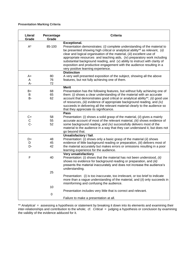#### **Presentation Marking Criteria**

| <b>Literal</b><br>Grade | Percentage<br>Grade | <b>Criteria</b>                                                                                                                                                                                                                                                                                                                                                                                                                                                                                                                       |
|-------------------------|---------------------|---------------------------------------------------------------------------------------------------------------------------------------------------------------------------------------------------------------------------------------------------------------------------------------------------------------------------------------------------------------------------------------------------------------------------------------------------------------------------------------------------------------------------------------|
| $A^*$                   | 85-100              | <b>Exceptional.</b><br>Presentation demonstrates: (I) complete understanding of the material to<br>be presented showing high critical or analytical ability** as relevant, (ii)<br>clear and logical organisation of the material, (iii) excellent use of<br>appropriate resources and teaching aids, $(iv)$ preparatory work including<br>substantial background reading, and (v) ability to instruct with clarity of<br>exposition and productive engagement with the audience resulting in a<br>very positive learning experience. |
| A+<br>Α<br>А-           | 80<br>76<br>72      | <b>Distinction</b><br>A very well presented exposition of the subject, showing all the above<br>features, but not fully achieving one of them.                                                                                                                                                                                                                                                                                                                                                                                        |
| B+<br>В<br>B-           | 68<br>65<br>62      | <b>Merit</b><br>Presentation has the following features, but without fully achieving one of<br>them: (i) shows a clear understanding of the material with an accurate<br>account that demonstrates good critical or analytical ability**, (ii) good use<br>of resources, (iii) evidence of appropriate background reading, and (iv)<br>succeeds in delivering all the relevant material clearly to the audience so<br>that they appreciate its significance.                                                                          |
| $C + C$<br>$C - C$      | 58<br>55<br>52      | Pass<br>Presentation: ( $i$ ) shows a solid grasp of the material, ( $ii$ ) gives a mainly<br>accurate account of most of the relevant material, (iii) shows evidence of<br>some background reading , and (iv) successfully delivers most of the<br>material to the audience in a way that they can understand it, but does not<br>go beyond that.                                                                                                                                                                                    |
| D+<br>D<br>D-           | 48<br>45<br>42      | Unsatisfactory / fail.<br>Presentation: (i) shows only a basic grasp of the material (ii) shows<br>evidence of little background reading or preparation, (iii) delivers most of<br>the material accurately but makes errors or omissions resulting in a poor<br>learning experience for the audience.                                                                                                                                                                                                                                 |
| F                       | 40                  | <b>Very unsatisfactiory</b><br>Presentation: (i) shows that the material has not been understood, (ii)<br>shows no evidence for background reading or preparation, and (iii)<br>presents the material inaccurately and does not increase the audience's<br>understanding.                                                                                                                                                                                                                                                             |
|                         | 25<br>10            | Presentation: $(i)$ is too inaccurate, too irrelevant, or too brief to indicate<br>more than a vague understanding of the material, and (ii) only succeeds in<br>misinforming and confusing the audience.                                                                                                                                                                                                                                                                                                                             |
|                         | 0                   | Presentation includes very little that is correct and relevant.<br>Failure to make a presentation at all.                                                                                                                                                                                                                                                                                                                                                                                                                             |

\*\* *Analytical* = assessing a hypothesis or statement by breaking it down into its elements and examining their inter-relationships and contribution to the whole; cf. *Critical*= judging a hypothesis or conclusion by examining the validity of the evidence adduced for it.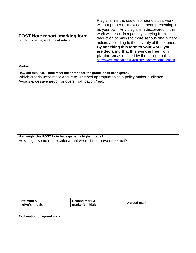| <b>POST Note report: marking form</b><br>Student's name, and title of article                                                                                                                                                                                                                                                                      |                                    | Plagiarism is the use of someone else's work<br>without proper acknowledgement, presenting it<br>as your own. Any plagiarism discovered in this<br>work will result in a penalty, varying from<br>deduction of marks to more serious disciplinary<br>action, according to the severity of the offence.<br>By attaching this form to your work, you<br>are declaring that this work is free from<br>plagiarism as defined by the college policy:<br>http://www.imperial.ac.uk/registry/exams/examoffences |
|----------------------------------------------------------------------------------------------------------------------------------------------------------------------------------------------------------------------------------------------------------------------------------------------------------------------------------------------------|------------------------------------|----------------------------------------------------------------------------------------------------------------------------------------------------------------------------------------------------------------------------------------------------------------------------------------------------------------------------------------------------------------------------------------------------------------------------------------------------------------------------------------------------------|
| <b>Marker</b>                                                                                                                                                                                                                                                                                                                                      |                                    |                                                                                                                                                                                                                                                                                                                                                                                                                                                                                                          |
| How did this POST note meet the criteria for the grade it has been given?<br>Which criteria were met? Accurate? Pitched appropriately to a policy maker audience?<br>Avoids excessive jargon or oversimplification? etc.<br>How might this POST Note have gained a higher grade?<br>How might some of the criteria that weren't met have been met? |                                    |                                                                                                                                                                                                                                                                                                                                                                                                                                                                                                          |
| First mark &<br>marker's initials                                                                                                                                                                                                                                                                                                                  | Second mark &<br>marker's initials | <b>Agreed mark</b>                                                                                                                                                                                                                                                                                                                                                                                                                                                                                       |
| <b>Explanation of agreed mark</b>                                                                                                                                                                                                                                                                                                                  |                                    |                                                                                                                                                                                                                                                                                                                                                                                                                                                                                                          |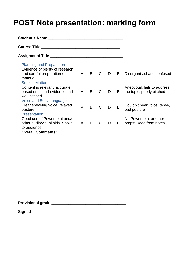# **POST Note presentation: marking form**

**Student's Name \_\_\_\_\_\_\_\_\_\_\_\_\_\_\_\_\_\_\_\_\_\_\_\_\_\_\_\_\_\_\_\_\_\_\_**

**Course Title \_\_\_\_\_\_\_\_\_\_\_\_\_\_\_\_\_\_\_\_\_\_\_\_\_\_\_\_\_\_\_\_\_\_\_\_\_**

**Assignment Title \_\_\_\_\_\_\_\_\_\_\_\_\_\_\_\_\_\_\_\_\_\_\_\_\_\_\_\_\_\_\_\_\_\_**

| <b>Planning and Preparation</b>   |   |   |              |   |   |                             |
|-----------------------------------|---|---|--------------|---|---|-----------------------------|
| Evidence of plenty of research    |   |   |              |   |   |                             |
| and careful preparation of        | A | B | $\mathsf{C}$ | D | E | Disorganised and confused   |
| material<br><b>Subject Matter</b> |   |   |              |   |   |                             |
| Content is relevant, accurate,    |   |   |              |   |   | Anecdotal, fails to address |
| based on sound evidence and       | A | B | $\mathsf C$  | D | E | the topic, poorly pitched   |
| well-pitched                      |   |   |              |   |   |                             |
| Voice and Body Language           |   |   |              |   |   |                             |
| Clear speaking voice, relaxed     | A | B | $\mathsf C$  | D | E | Couldn't hear voice, tense, |
| posture                           |   |   |              |   |   | bad posture                 |
| <b>Presentation</b>               |   |   |              |   |   |                             |
| Good use of Powerpoint and/or     |   |   |              |   |   | No Powerpoint or other      |
| other audio/visual aids. Spoke    | A | B | $\mathsf C$  | D | E | props; Read from notes.     |
| to audience.                      |   |   |              |   |   |                             |
| <b>Overall Comments:</b>          |   |   |              |   |   |                             |
|                                   |   |   |              |   |   |                             |
|                                   |   |   |              |   |   |                             |
|                                   |   |   |              |   |   |                             |
|                                   |   |   |              |   |   |                             |
|                                   |   |   |              |   |   |                             |
|                                   |   |   |              |   |   |                             |
|                                   |   |   |              |   |   |                             |
|                                   |   |   |              |   |   |                             |
|                                   |   |   |              |   |   |                             |
|                                   |   |   |              |   |   |                             |
|                                   |   |   |              |   |   |                             |
|                                   |   |   |              |   |   |                             |
|                                   |   |   |              |   |   |                             |

**Provisional grade \_\_\_\_\_\_\_\_\_\_\_\_\_\_\_\_\_\_\_\_\_\_\_\_\_\_\_\_\_\_\_\_\_\_\_**

**Signed \_\_\_\_\_\_\_\_\_\_\_\_\_\_\_\_\_\_\_\_\_\_\_\_\_\_\_\_\_\_\_\_\_\_\_**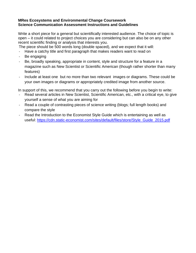#### **MRes Ecosystems and Environmental Change Coursework Science Communication Assessment Instructions and Guidelines**

Write a short piece for a general but scientifically interested audience. The choice of topic is open – it could related to project choices you are considering but can also be on any other recent scientific finding or analysis that interests you.

- The piece should be 500 words long (double spaced), and we expect that it will:
- Have a catchy title and first paragraph that makes readers want to read on
- Be engaging
- Be, broadly speaking, appropriate in content, style and structure for a feature in a magazine such as New Scientist or Scientific American (though rather shorter than many features)
- Include at least one but no more than two relevant images or diagrams. These could be your own images or diagrams or appropriately credited image from another source.

In support of this, we recommend that you carry out the following before you begin to write:

- Read several articles in New Scientist, Scientific American, etc., with a critical eye, to give yourself a sense of what you are aiming for
- Read a couple of contrasting pieces of science writing (blogs; full length books) and compare the style
- Read the Introduction to the Economist Style Guide which is entertaining as well as useful: [https://cdn.static-economist.com/sites/default/files/store/Style\\_Guide\\_2015.pdf](https://cdn.static-economist.com/sites/default/files/store/Style_Guide_2015.pdf)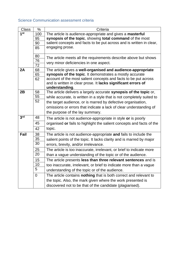#### Science Communication assessment criteria

| <b>Class</b>      | $\%$        | Criteria                                                                                                                |
|-------------------|-------------|-------------------------------------------------------------------------------------------------------------------------|
| $\overline{1}$ st | 100         | The article is audience-appropriate and gives a masterful                                                               |
|                   | 95          | synopsis of the topic, showing total command of the most                                                                |
|                   | 90          | salient concepts and facts to be put across and is written in clear,                                                    |
|                   | 85          | engaging prose.                                                                                                         |
|                   |             |                                                                                                                         |
|                   | 80          | The article meets all the requirements describe above but shows                                                         |
|                   | 76          | very minor deficiencies in one aspect.                                                                                  |
| 2A                | 72          |                                                                                                                         |
|                   | 68<br>65    | The article gives a well-organised and audience-appropriate<br>synopsis of the topic. It demonstrates a mostly accurate |
|                   | 62          | account of the most salient concepts and facts to be put across                                                         |
|                   |             | and is written in clear prose. It lacks significant errors of                                                           |
|                   |             | understanding.                                                                                                          |
| 2B                | 58          | The article delivers a largely accurate synopsis of the topic or,                                                       |
|                   | 55          | while accurate, is written in a style that is not completely suited to                                                  |
|                   | 52          | the target audience, or is marred by defective organisation,                                                            |
|                   |             | omissions or errors that indicate a lack of clear understanding of                                                      |
|                   |             | the purpose of the lay summary.                                                                                         |
| 3 <sup>rd</sup>   | 48          | The article is not audience-appropriate in style or is poorly                                                           |
|                   | 45          | organised or fails to highlight the salient concepts and facts of the                                                   |
|                   | 42          | topic.                                                                                                                  |
| Fail              | 38          |                                                                                                                         |
|                   | 35          | The article is not audience-appropriate and fails to include the                                                        |
|                   | 30          | salient points of the topic. It lacks clarity and is marred by major                                                    |
|                   |             | errors, brevity, and/or irrelevance.                                                                                    |
|                   | 25          | The article is too inaccurate, irrelevant, or brief to indicate more                                                    |
|                   | 20          | than a vague understanding of the topic or of the audience.                                                             |
|                   | 15          | The article presents less than three relevant sentences and is                                                          |
|                   | 10          | too inaccurate, irrelevant, or brief to indicate more than a vague                                                      |
|                   | 5           | understanding of the topic or of the audience.                                                                          |
|                   | $\mathbf 0$ | The article contains nothing that is both correct and relevant to                                                       |
|                   |             | the topic. Also, the mark given where the work presented is                                                             |
|                   |             | discovered not to be that of the candidate (plagiarised).                                                               |